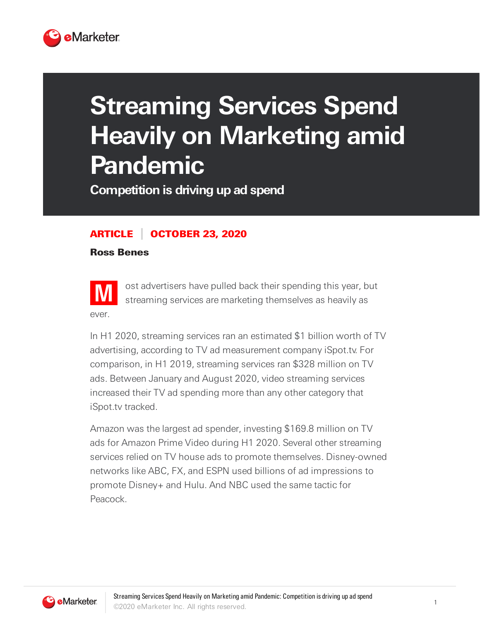

## **Streaming Services Spend Heavily on Marketing amid Pandemic**

**Competition is driving up ad spend**

## ARTICLE OCTOBER 23, 2020

Ross Benes



ost advertisers have pulled back their spending this year, but streaming services are marketing themselves as heavily as

In H1 2020, streaming services ran an estimated \$1 billion worth of TV advertising, according to TV ad measurement company iSpot.tv. For comparison, in H1 2019, streaming services ran \$328 million on TV ads. Between January and August 2020, video streaming services increased their TV ad spending more than any other category that iSpot.tv tracked.

Amazon was the largest ad spender, investing \$169.8 million on TV ads for Amazon Prime Video during H1 2020. Several other streaming services relied on TV house ads to promote themselves. Disney-owned networks like ABC, FX, and ESPN used billions of ad impressions to promote Disney+ and Hulu. And NBC used the same tactic for Peacock.

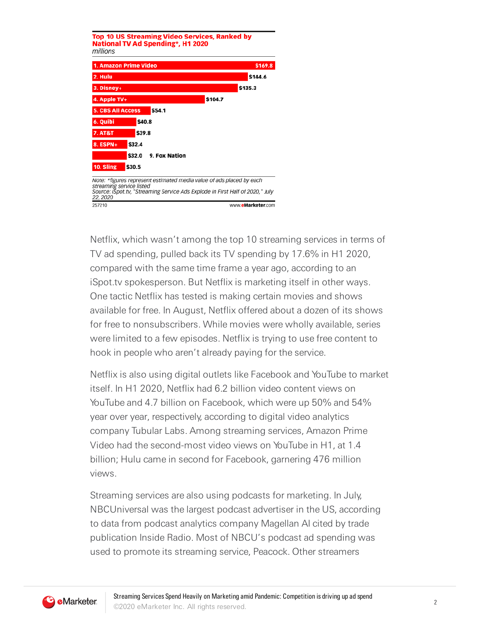

Netflix, which wasn't among the top 10 streaming services in terms of TV ad spending, pulled back its TV spending by 17.6% in H1 2020, compared with the same time frame a year ago, according to an iSpot.tv spokesperson. But Netflix is marketing itself in other ways. One tactic Netflix has tested is making certain movies and shows available for free. In August, Netflix offered about a dozen of its shows for free to nonsubscribers. While movies were wholly available, series were limited to a few episodes. Netflix is trying to use free content to hook in people who aren't already paying for the service.

Netflix is also using digital outlets like Facebook and YouTube to market itself. In H1 2020, Netflix had 6.2 billion video content views on YouTube and 4.7 billion on Facebook, which were up 50% and 54% year over year, respectively, according to digital video analytics company Tubular Labs. Among streaming services, Amazon Prime Video had the second-most video views on YouTube in H1, at 1.4 billion; Hulu came in second for Facebook, garnering 476 million views.

Streaming services are also using podcasts for marketing. In July, NBCUniversal was the largest podcast advertiser in the US, according to data from podcast analytics company Magellan AI cited by trade publication Inside Radio. Most of NBCU's podcast ad spending was used to promote its streaming service, Peacock. Other streamers